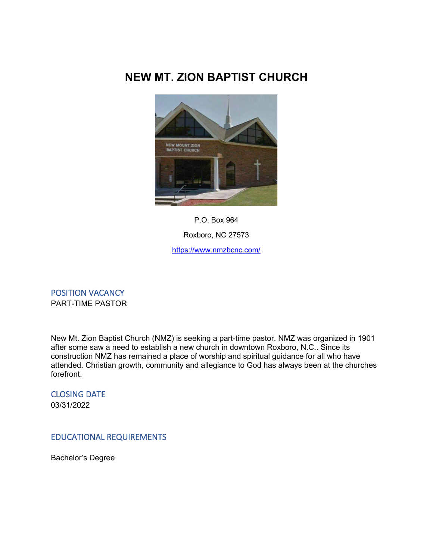# **NEW MT. ZION BAPTIST CHURCH**



P.O. Box 964 Roxboro, NC 27573 <https://www.nmzbcnc.com/>

POSITION VACANCY PART-TIME PASTOR

New Mt. Zion Baptist Church (NMZ) is seeking a part-time pastor. NMZ was organized in 1901 after some saw a need to establish a new church in downtown Roxboro, N.C.. Since its construction NMZ has remained a place of worship and spiritual guidance for all who have attended. Christian growth, community and allegiance to God has always been at the churches forefront.

CLOSING DATE 03/31/2022

## EDUCATIONAL REQUIREMENTS

Bachelor's Degree